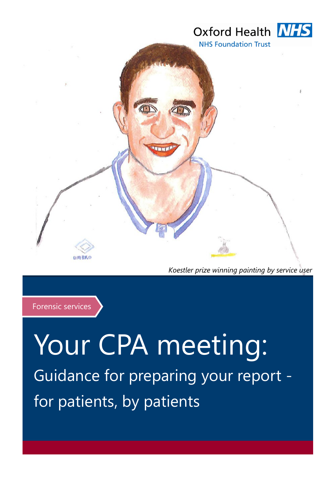

*Koestler prize winning painting by service user* 



# Your CPA meeting: Guidance for preparing your report for patients, by patients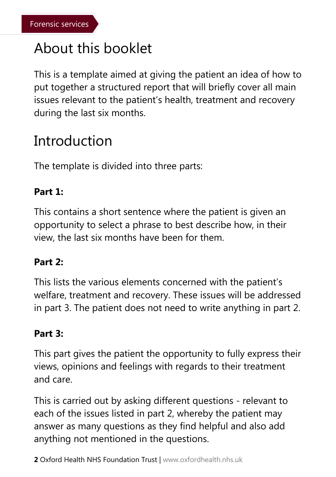# About this booklet

This is a template aimed at giving the patient an idea of how to put together a structured report that will briefly cover all main issues relevant to the patient's health, treatment and recovery during the last six months.

# **Introduction**

The template is divided into three parts:

### **Part 1:**

This contains a short sentence where the patient is given an opportunity to select a phrase to best describe how, in their view, the last six months have been for them.

#### **Part 2:**

This lists the various elements concerned with the patient's welfare, treatment and recovery. These issues will be addressed in part 3. The patient does not need to write anything in part 2.

#### **Part 3:**

This part gives the patient the opportunity to fully express their views, opinions and feelings with regards to their treatment and care.

This is carried out by asking different questions - relevant to each of the issues listed in part 2, whereby the patient may answer as many questions as they find helpful and also add anything not mentioned in the questions.

**2** Oxford Health NHS Foundation Trust | www.oxfordhealth.nhs.uk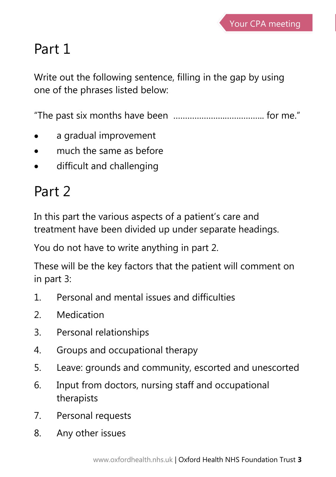# Part 1

Write out the following sentence, filling in the gap by using one of the phrases listed below:

"The past six months have been ………………….…………….. for me."

- a gradual improvement
- much the same as before
- difficult and challenging

# Part 2

In this part the various aspects of a patient's care and treatment have been divided up under separate headings.

You do not have to write anything in part 2.

These will be the key factors that the patient will comment on in part 3:

- 1. Personal and mental issues and difficulties
- 2. Medication
- 3. Personal relationships
- 4. Groups and occupational therapy
- 5. Leave: grounds and community, escorted and unescorted
- 6. Input from doctors, nursing staff and occupational therapists
- 7. Personal requests
- 8. Any other issues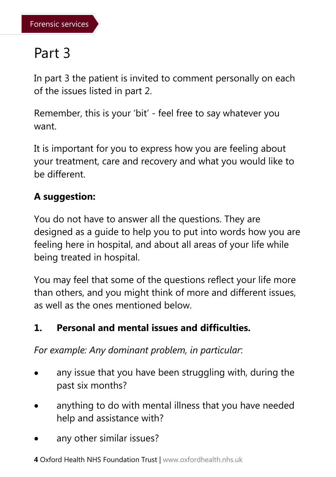# Part 3

In part 3 the patient is invited to comment personally on each of the issues listed in part 2.

Remember, this is your 'bit' - feel free to say whatever you want.

It is important for you to express how you are feeling about your treatment, care and recovery and what you would like to be different.

# **A suggestion:**

You do not have to answer all the questions. They are designed as a guide to help you to put into words how you are feeling here in hospital, and about all areas of your life while being treated in hospital.

You may feel that some of the questions reflect your life more than others, and you might think of more and different issues, as well as the ones mentioned below.

# **1. Personal and mental issues and difficulties.**

*For example: Any dominant problem, in particular*:

- any issue that you have been struggling with, during the past six months?
- anything to do with mental illness that you have needed help and assistance with?
- any other similar issues?
- **4** Oxford Health NHS Foundation Trust | www.oxfordhealth.nhs.uk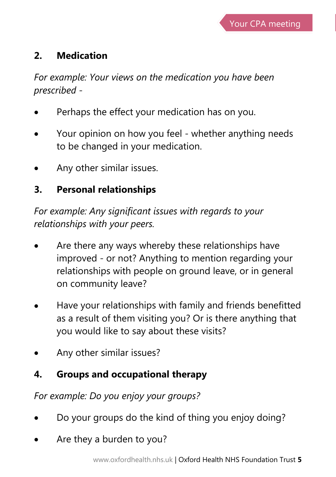### **2. Medication**

*For example: Your views on the medication you have been prescribed -*

- Perhaps the effect your medication has on you.
- Your opinion on how you feel whether anything needs to be changed in your medication.
- Any other similar issues.

## **3. Personal relationships**

*For example: Any significant issues with regards to your relationships with your peers.*

- Are there any ways whereby these relationships have improved - or not? Anything to mention regarding your relationships with people on ground leave, or in general on community leave?
- Have your relationships with family and friends benefitted as a result of them visiting you? Or is there anything that you would like to say about these visits?
- Any other similar issues?

# **4. Groups and occupational therapy**

*For example: Do you enjoy your groups?*

- Do your groups do the kind of thing you enjoy doing?
- Are they a burden to you?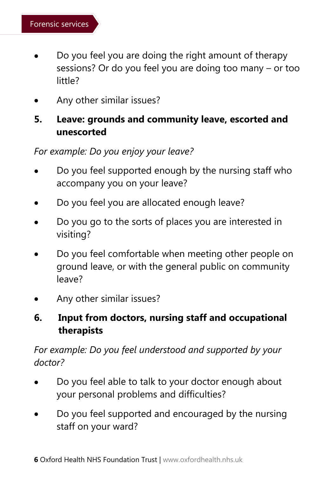- Do you feel you are doing the right amount of therapy sessions? Or do you feel you are doing too many – or too little?
- Any other similar issues?

#### **5. Leave: grounds and community leave, escorted and unescorted**

*For example: Do you enjoy your leave?*

- Do you feel supported enough by the nursing staff who accompany you on your leave?
- Do you feel you are allocated enough leave?
- Do you go to the sorts of places you are interested in visiting?
- Do you feel comfortable when meeting other people on ground leave, or with the general public on community leave?
- Any other similar issues?

### **6. Input from doctors, nursing staff and occupational therapists**

#### *For example: Do you feel understood and supported by your doctor?*

- Do you feel able to talk to your doctor enough about your personal problems and difficulties?
- Do you feel supported and encouraged by the nursing staff on your ward?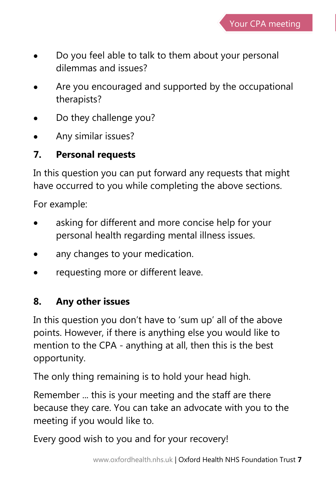

- Do you feel able to talk to them about your personal dilemmas and issues?
- Are you encouraged and supported by the occupational therapists?
- Do they challenge you?
- Any similar issues?

### **7. Personal requests**

In this question you can put forward any requests that might have occurred to you while completing the above sections.

For example:

- asking for different and more concise help for your personal health regarding mental illness issues.
- any changes to your medication.
- requesting more or different leave.

### **8. Any other issues**

In this question you don't have to 'sum up' all of the above points. However, if there is anything else you would like to mention to the CPA - anything at all, then this is the best opportunity.

The only thing remaining is to hold your head high.

Remember ... this is your meeting and the staff are there because they care. You can take an advocate with you to the meeting if you would like to.

Every good wish to you and for your recovery!